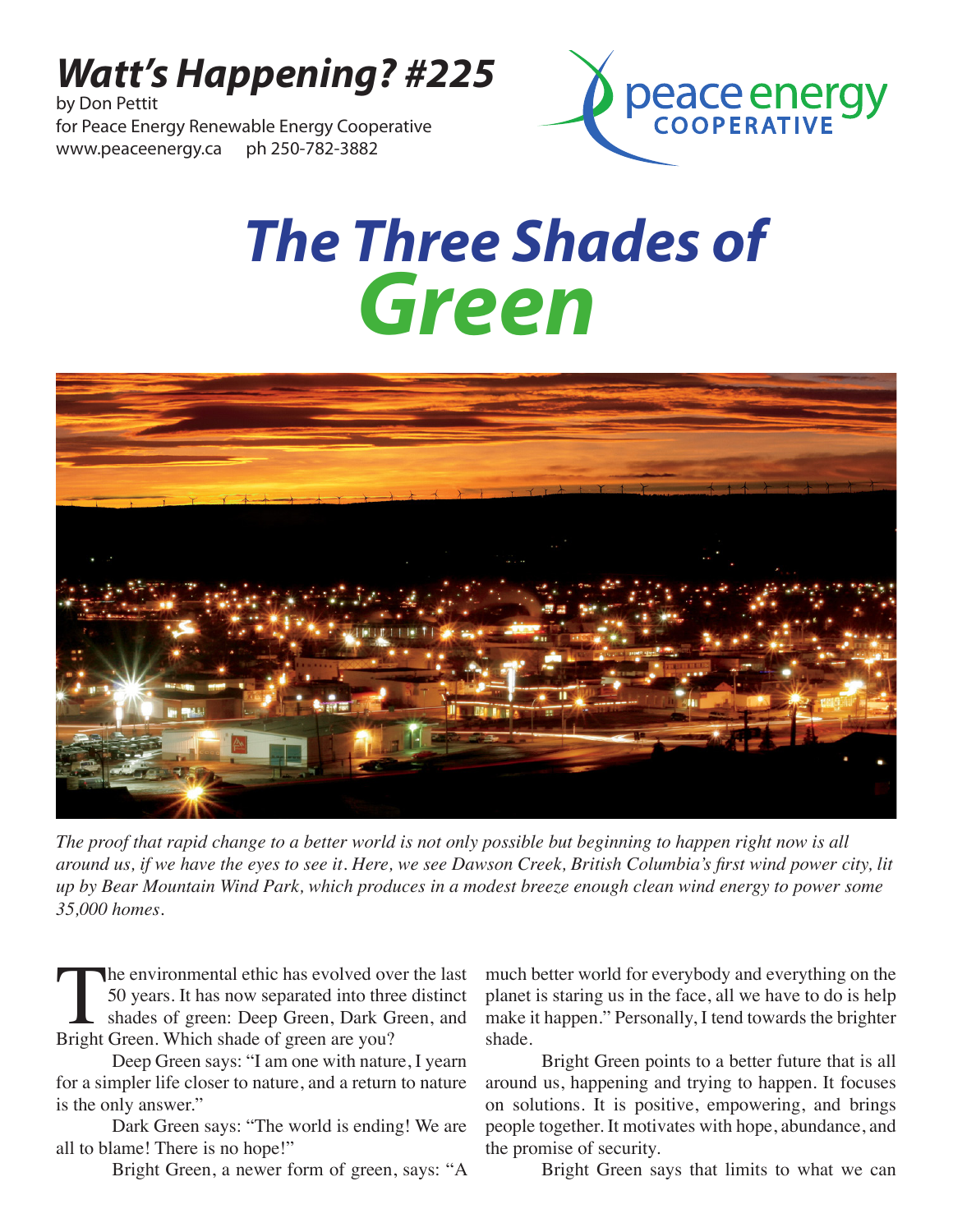## *Watt's Happening? #225*

by Don Pettit for Peace Energy Renewable Energy Cooperative www.peaceenergy.ca ph 250-782-3882



## *The Three Shades of Green*



*The proof that rapid change to a better world is not only possible but beginning to happen right now is all around us, if we have the eyes to see it. Here, we see Dawson Creek, British Columbia's first wind power city, lit up by Bear Mountain Wind Park, which produces in a modest breeze enough clean wind energy to power some 35,000 homes.*

The environmental ethic has evolved over the last<br>50 years. It has now separated into three distinct<br>shades of green: Deep Green, Dark Green, and<br>Bright Green. Which shade of green are you? 50 years. It has now separated into three distinct shades of green: Deep Green, Dark Green, and Bright Green. Which shade of green are you?

Deep Green says: "I am one with nature, I yearn for a simpler life closer to nature, and a return to nature is the only answer."

Dark Green says: "The world is ending! We are all to blame! There is no hope!"

Bright Green, a newer form of green, says: "A

much better world for everybody and everything on the planet is staring us in the face, all we have to do is help make it happen." Personally, I tend towards the brighter shade.

Bright Green points to a better future that is all around us, happening and trying to happen. It focuses on solutions. It is positive, empowering, and brings people together. It motivates with hope, abundance, and the promise of security.

Bright Green says that limits to what we can